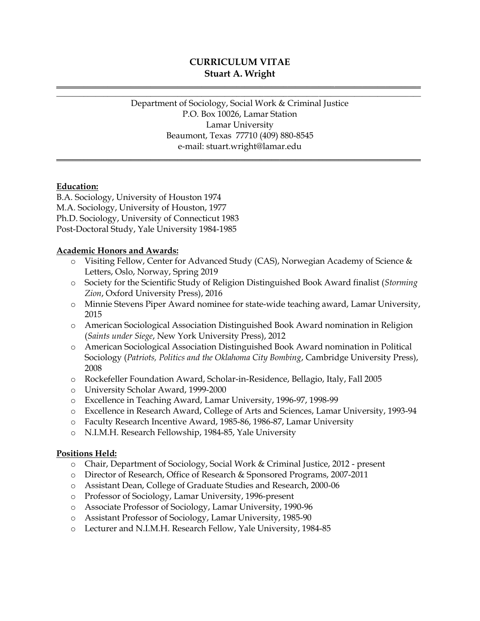# **CURRICULUM VITAE Stuart A. Wright**

**\_\_\_\_\_\_\_\_\_\_\_\_\_\_\_\_\_\_\_\_\_\_\_\_\_\_\_\_\_\_\_\_\_\_\_\_\_\_\_\_\_\_\_\_\_\_\_\_\_\_\_\_\_\_\_\_\_\_\_\_\_\_\_\_\_\_\_\_\_\_\_\_\_\_\_\_\_\_\_\_\_\_\_\_\_\_\_\_\_\_\_\_\_ \_\_\_\_\_\_\_\_\_\_\_\_\_\_\_\_\_\_\_\_\_\_\_\_\_\_\_\_\_\_\_\_\_\_\_\_\_\_\_\_\_\_\_\_\_\_\_\_\_\_\_\_\_\_\_\_\_\_\_\_\_\_\_\_\_\_\_\_\_\_\_\_\_\_\_\_\_\_\_\_\_\_\_\_\_\_\_\_\_\_\_\_\_**

> Department of Sociology, Social Work & Criminal Justice P.O. Box 10026, Lamar Station Lamar University Beaumont, Texas 77710 (409) 880-8545 e-mail: stuart.wright@lamar.edu

**\_\_\_\_\_\_\_\_\_\_\_\_\_\_\_\_\_\_\_\_\_\_\_\_\_\_\_\_\_\_\_\_\_\_\_\_\_\_\_\_\_\_\_\_\_\_\_\_\_\_\_\_\_\_\_\_\_\_\_\_\_\_\_\_\_\_\_\_\_\_\_\_\_\_\_\_\_\_\_\_\_\_\_\_\_\_\_\_\_\_\_\_\_**

### **Education:**

B.A. Sociology, University of Houston 1974 M.A. Sociology, University of Houston, 1977 Ph.D. Sociology, University of Connecticut 1983 Post-Doctoral Study, Yale University 1984-1985

#### **Academic Honors and Awards:**

- o Visiting Fellow, Center for Advanced Study (CAS), Norwegian Academy of Science & Letters, Oslo, Norway, Spring 2019
- o Society for the Scientific Study of Religion Distinguished Book Award finalist (*Storming Zion*, Oxford University Press), 2016
- o Minnie Stevens Piper Award nominee for state-wide teaching award, Lamar University, 2015
- o American Sociological Association Distinguished Book Award nomination in Religion (*Saints under Siege*, New York University Press), 2012
- o American Sociological Association Distinguished Book Award nomination in Political Sociology (*Patriots, Politics and the Oklahoma City Bombing*, Cambridge University Press), 2008
- o Rockefeller Foundation Award, Scholar-in-Residence, Bellagio, Italy, Fall 2005
- o University Scholar Award, 1999-2000
- o Excellence in Teaching Award, Lamar University, 1996-97, 1998-99
- o Excellence in Research Award, College of Arts and Sciences, Lamar University, 1993-94
- o Faculty Research Incentive Award, 1985-86, 1986-87, Lamar University
- o N.I.M.H. Research Fellowship, 1984-85, Yale University

#### **Positions Held:**

- o Chair, Department of Sociology, Social Work & Criminal Justice, 2012 present
- o Director of Research, Office of Research & Sponsored Programs, 2007-2011
- o Assistant Dean, College of Graduate Studies and Research, 2000-06
- o Professor of Sociology, Lamar University, 1996-present
- o Associate Professor of Sociology, Lamar University, 1990-96
- o Assistant Professor of Sociology, Lamar University, 1985-90
- o Lecturer and N.I.M.H. Research Fellow, Yale University, 1984-85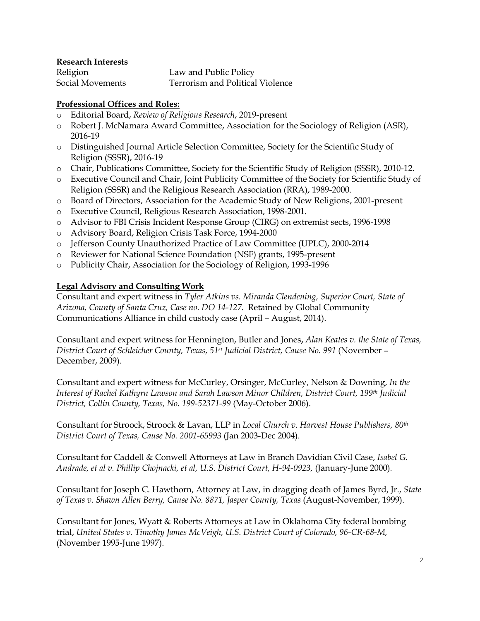**Research Interests**

Religion Law and Public Policy Social Movements Terrorism and Political Violence

## **Professional Offices and Roles:**

- o Editorial Board, *Review of Religious Research*, 2019-present
- o Robert J. McNamara Award Committee, Association for the Sociology of Religion (ASR), 2016-19
- o Distinguished Journal Article Selection Committee, Society for the Scientific Study of Religion (SSSR), 2016-19
- o Chair, Publications Committee, Society for the Scientific Study of Religion (SSSR), 2010-12.
- o Executive Council and Chair, Joint Publicity Committee of the Society for Scientific Study of Religion (SSSR) and the Religious Research Association (RRA), 1989-2000.
- o Board of Directors, Association for the Academic Study of New Religions, 2001-present
- o Executive Council, Religious Research Association, 1998-2001.
- o Advisor to FBI Crisis Incident Response Group (CIRG) on extremist sects, 1996-1998
- o Advisory Board, Religion Crisis Task Force, 1994-2000
- o Jefferson County Unauthorized Practice of Law Committee (UPLC), 2000-2014
- o Reviewer for National Science Foundation (NSF) grants, 1995-present
- o Publicity Chair, Association for the Sociology of Religion, 1993-1996

## **Legal Advisory and Consulting Work**

Consultant and expert witness in *Tyler Atkins vs. Miranda Clendening, Superior Court, State of Arizona, County of Santa Cruz, Case no. DO 14-127*. Retained by Global Community Communications Alliance in child custody case (April – August, 2014).

Consultant and expert witness for Hennington, Butler and Jones**,** *Alan Keates v. the State of Texas, District Court of Schleicher County, Texas, 51st Judicial District, Cause No. 991* (November – December, 2009).

Consultant and expert witness for McCurley, Orsinger, McCurley, Nelson & Downing, *In the Interest of Rachel Kathyrn Lawson and Sarah Lawson Minor Children, District Court, 199th Judicial District, Collin County, Texas, No. 199-52371-99* (May-October 2006).

Consultant for Stroock, Stroock & Lavan, LLP in *Local Church v. Harvest House Publishers, 80th District Court of Texas, Cause No. 2001-65993* (Jan 2003-Dec 2004).

Consultant for Caddell & Conwell Attorneys at Law in Branch Davidian Civil Case, *Isabel G. Andrade, et al v. Phillip Chojnacki, et al, U.S. District Court, H-94-0923,* (January-June 2000)*.* 

Consultant for Joseph C. Hawthorn, Attorney at Law, in dragging death of James Byrd, Jr., *State of Texas v. Shawn Allen Berry, Cause No. 8871, Jasper County, Texas* (August-November, 1999).

Consultant for Jones, Wyatt & Roberts Attorneys at Law in Oklahoma City federal bombing trial, *United States v. Timothy James McVeigh, U.S. District Court of Colorado, 96-CR-68-M,* (November 1995-June 1997).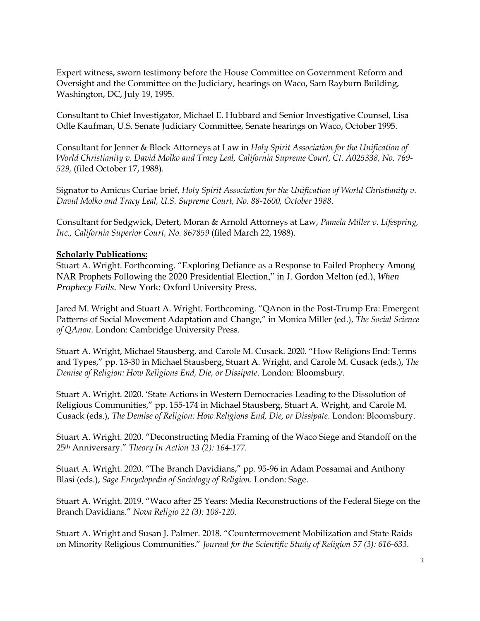Expert witness, sworn testimony before the House Committee on Government Reform and Oversight and the Committee on the Judiciary, hearings on Waco, Sam Rayburn Building, Washington, DC, July 19, 1995.

Consultant to Chief Investigator, Michael E. Hubbard and Senior Investigative Counsel, Lisa Odle Kaufman, U.S. Senate Judiciary Committee, Senate hearings on Waco, October 1995.

Consultant for Jenner & Block Attorneys at Law in *Holy Spirit Association for the Unification of World Christianity v. David Molko and Tracy Leal, California Supreme Court, Ct. A025338, No. 769- 529,* (filed October 17, 1988).

Signator to Amicus Curiae brief, *Holy Spirit Association for the Unification of World Christianity v. David Molko and Tracy Leal, U.S. Supreme Court, No. 88-1600, October 1988*.

Consultant for Sedgwick, Detert, Moran & Arnold Attorneys at Law, *Pamela Miller v. Lifespring, Inc., California Superior Court, No. 867859* (filed March 22, 1988).

#### **Scholarly Publications:**

Stuart A. Wright. Forthcoming. "Exploring Defiance as a Response to Failed Prophecy Among NAR Prophets Following the 2020 Presidential Election," in J. Gordon Melton (ed.), *When Prophecy Fails*. New York: Oxford University Press.

Jared M. Wright and Stuart A. Wright. Forthcoming. "QAnon in the Post-Trump Era: Emergent Patterns of Social Movement Adaptation and Change," in Monica Miller (ed.), *The Social Science of QAnon*. London: Cambridge University Press.

Stuart A. Wright, Michael Stausberg, and Carole M. Cusack. 2020. "How Religions End: Terms and Types," pp. 13-30 in Michael Stausberg, Stuart A. Wright, and Carole M. Cusack (eds.), *The Demise of Religion: How Religions End, Die, or Dissipate*. London: Bloomsbury.

Stuart A. Wright. 2020. 'State Actions in Western Democracies Leading to the Dissolution of Religious Communities," pp. 155-174 in Michael Stausberg, Stuart A. Wright, and Carole M. Cusack (eds.), *The Demise of Religion: How Religions End, Die, or Dissipate*. London: Bloomsbury.

Stuart A. Wright. 2020. "Deconstructing Media Framing of the Waco Siege and Standoff on the 25th Anniversary." *Theory In Action 13 (2): 164-177*.

Stuart A. Wright. 2020. "The Branch Davidians," pp. 95-96 in Adam Possamai and Anthony Blasi (eds.), *Sage Encyclopedia of Sociology of Religion*. London: Sage.

Stuart A. Wright. 2019. "Waco after 25 Years: Media Reconstructions of the Federal Siege on the Branch Davidians." *Nova Religio 22 (3): 108-120.*

Stuart A. Wright and Susan J. Palmer. 2018. "Countermovement Mobilization and State Raids on Minority Religious Communities." *Journal for the Scientific Study of Religion 57 (3): 616-633.*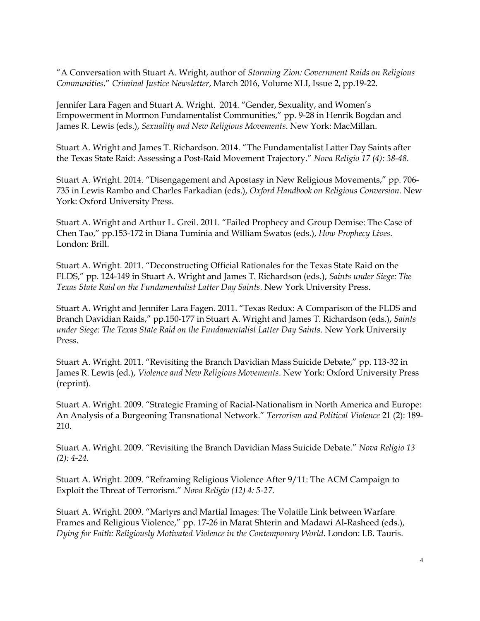"A Conversation with Stuart A. Wright, author of *Storming Zion: Government Raids on Religious Communities*." *Criminal Justice Newsletter*, March 2016, Volume XLI, Issue 2, pp.19-22.

Jennifer Lara Fagen and Stuart A. Wright. 2014. "Gender, Sexuality, and Women's Empowerment in Mormon Fundamentalist Communities," pp. 9-28 in Henrik Bogdan and James R. Lewis (eds.), *Sexuality and New Religious Movements*. New York: MacMillan.

Stuart A. Wright and James T. Richardson. 2014. "The Fundamentalist Latter Day Saints after the Texas State Raid: Assessing a Post-Raid Movement Trajectory." *Nova Religio 17 (4): 38-48.*

Stuart A. Wright. 2014. "Disengagement and Apostasy in New Religious Movements," pp. 706- 735 in Lewis Rambo and Charles Farkadian (eds.), *Oxford Handbook on Religious Conversion*. New York: Oxford University Press.

Stuart A. Wright and Arthur L. Greil. 2011. "Failed Prophecy and Group Demise: The Case of Chen Tao," pp.153-172 in Diana Tuminia and William Swatos (eds.), *How Prophecy Lives*. London: Brill.

Stuart A. Wright. 2011. "Deconstructing Official Rationales for the Texas State Raid on the FLDS," pp. 124-149 in Stuart A. Wright and James T. Richardson (eds.), *Saints under Siege: The Texas State Raid on the Fundamentalist Latter Day Saints*. New York University Press.

Stuart A. Wright and Jennifer Lara Fagen. 2011. "Texas Redux: A Comparison of the FLDS and Branch Davidian Raids," pp.150-177 in Stuart A. Wright and James T. Richardson (eds.), *Saints under Siege: The Texas State Raid on the Fundamentalist Latter Day Saints*. New York University Press.

Stuart A. Wright. 2011. "Revisiting the Branch Davidian Mass Suicide Debate," pp. 113-32 in James R. Lewis (ed.), *Violence and New Religious Movements*. New York: Oxford University Press (reprint).

Stuart A. Wright. 2009. "Strategic Framing of Racial-Nationalism in North America and Europe: An Analysis of a Burgeoning Transnational Network." *Terrorism and Political Violence* 21 (2): 189- 210.

Stuart A. Wright. 2009. "Revisiting the Branch Davidian Mass Suicide Debate." *Nova Religio 13 (2): 4-24.*

Stuart A. Wright. 2009. "Reframing Religious Violence After 9/11: The ACM Campaign to Exploit the Threat of Terrorism." *Nova Religio (12) 4: 5-27*.

Stuart A. Wright. 2009. "Martyrs and Martial Images: The Volatile Link between Warfare Frames and Religious Violence," pp. 17-26 in Marat Shterin and Madawi Al-Rasheed (eds.), *Dying for Faith: Religiously Motivated Violence in the Contemporary World*. London: I.B. Tauris.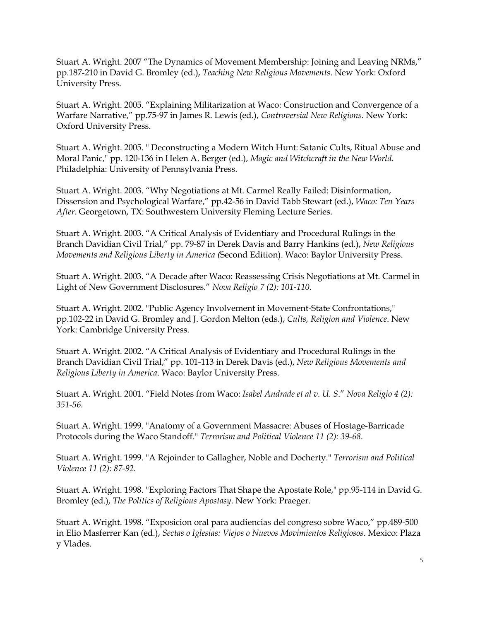Stuart A. Wright. 2007 "The Dynamics of Movement Membership: Joining and Leaving NRMs," pp.187-210 in David G. Bromley (ed.), *Teaching New Religious Movements*. New York: Oxford University Press.

Stuart A. Wright. 2005. "Explaining Militarization at Waco: Construction and Convergence of a Warfare Narrative," pp.75-97 in James R. Lewis (ed.), *Controversial New Religions*. New York: Oxford University Press.

Stuart A. Wright. 2005. " Deconstructing a Modern Witch Hunt: Satanic Cults, Ritual Abuse and Moral Panic," pp. 120-136 in Helen A. Berger (ed.), *Magic and Witchcraft in the New World*. Philadelphia: University of Pennsylvania Press.

Stuart A. Wright. 2003. "Why Negotiations at Mt. Carmel Really Failed: Disinformation, Dissension and Psychological Warfare," pp.42-56 in David Tabb Stewart (ed.), *Waco: Ten Years After*. Georgetown, TX: Southwestern University Fleming Lecture Series.

Stuart A. Wright. 2003. "A Critical Analysis of Evidentiary and Procedural Rulings in the Branch Davidian Civil Trial," pp. 79-87 in Derek Davis and Barry Hankins (ed.), *New Religious Movements and Religious Liberty in America (*Second Edition). Waco: Baylor University Press.

Stuart A. Wright. 2003. "A Decade after Waco: Reassessing Crisis Negotiations at Mt. Carmel in Light of New Government Disclosures." *Nova Religio 7 (2): 101-110.*

Stuart A. Wright. 2002. "Public Agency Involvement in Movement-State Confrontations," pp.102-22 in David G. Bromley and J. Gordon Melton (eds.), *Cults, Religion and Violence*. New York: Cambridge University Press.

Stuart A. Wright. 2002. "A Critical Analysis of Evidentiary and Procedural Rulings in the Branch Davidian Civil Trial," pp. 101-113 in Derek Davis (ed.), *New Religious Movements and Religious Liberty in America*. Waco: Baylor University Press.

Stuart A. Wright. 2001. "Field Notes from Waco: *Isabel Andrade et al v. U. S*." *Nova Religio 4 (2): 351-56.*

Stuart A. Wright. 1999. "Anatomy of a Government Massacre: Abuses of Hostage-Barricade Protocols during the Waco Standoff." *Terrorism and Political Violence 11 (2): 39-68*.

Stuart A. Wright. 1999. "A Rejoinder to Gallagher, Noble and Docherty." *Terrorism and Political Violence 11 (2): 87-92*.

Stuart A. Wright. 1998. "Exploring Factors That Shape the Apostate Role," pp.95-114 in David G. Bromley (ed.), *The Politics of Religious Apostasy*. New York: Praeger.

Stuart A. Wright. 1998. "Exposicion oral para audiencias del congreso sobre Waco," pp.489-500 in Elio Masferrer Kan (ed.), *Sectas o Iglesias: Viejos o Nuevos Movimientos Religiosos*. Mexico: Plaza y Vlades.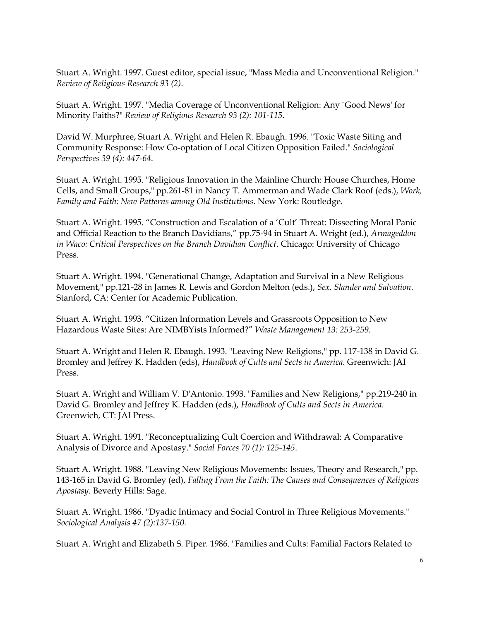Stuart A. Wright. 1997. Guest editor, special issue, "Mass Media and Unconventional Religion." *Review of Religious Research 93 (2)*.

Stuart A. Wright. 1997. "Media Coverage of Unconventional Religion: Any `Good News' for Minority Faiths?" *Review of Religious Research 93 (2): 101-115.*

David W. Murphree, Stuart A. Wright and Helen R. Ebaugh. 1996. "Toxic Waste Siting and Community Response: How Co-optation of Local Citizen Opposition Failed." *Sociological Perspectives 39 (4): 447-64*.

Stuart A. Wright. 1995. "Religious Innovation in the Mainline Church: House Churches, Home Cells, and Small Groups," pp.261-81 in Nancy T. Ammerman and Wade Clark Roof (eds.), *Work, Family and Faith: New Patterns among Old Institutions*. New York: Routledge.

Stuart A. Wright. 1995. "Construction and Escalation of a 'Cult' Threat: Dissecting Moral Panic and Official Reaction to the Branch Davidians," pp.75-94 in Stuart A. Wright (ed.), *Armageddon in Waco: Critical Perspectives on the Branch Davidian Conflict*. Chicago: University of Chicago Press.

Stuart A. Wright. 1994. "Generational Change, Adaptation and Survival in a New Religious Movement," pp.121-28 in James R. Lewis and Gordon Melton (eds.), *Sex, Slander and Salvation*. Stanford, CA: Center for Academic Publication.

Stuart A. Wright. 1993. "Citizen Information Levels and Grassroots Opposition to New Hazardous Waste Sites: Are NIMBYists Informed?" *Waste Management 13: 253-259.*

Stuart A. Wright and Helen R. Ebaugh. 1993. "Leaving New Religions," pp. 117-138 in David G. Bromley and Jeffrey K. Hadden (eds), *Handbook of Cults and Sects in America.* Greenwich: JAI Press.

Stuart A. Wright and William V. D'Antonio. 1993. "Families and New Religions," pp.219-240 in David G. Bromley and Jeffrey K. Hadden (eds.), *Handbook of Cults and Sects in America*. Greenwich, CT: JAI Press.

Stuart A. Wright. 1991. "Reconceptualizing Cult Coercion and Withdrawal: A Comparative Analysis of Divorce and Apostasy." *Social Forces 70 (1): 125-145*.

Stuart A. Wright. 1988. "Leaving New Religious Movements: Issues, Theory and Research," pp. 143-165 in David G. Bromley (ed), *Falling From the Faith: The Causes and Consequences of Religious Apostasy*. Beverly Hills: Sage.

Stuart A. Wright. 1986. "Dyadic Intimacy and Social Control in Three Religious Movements." *Sociological Analysis 47 (2):137-150.*

Stuart A. Wright and Elizabeth S. Piper. 1986. "Families and Cults: Familial Factors Related to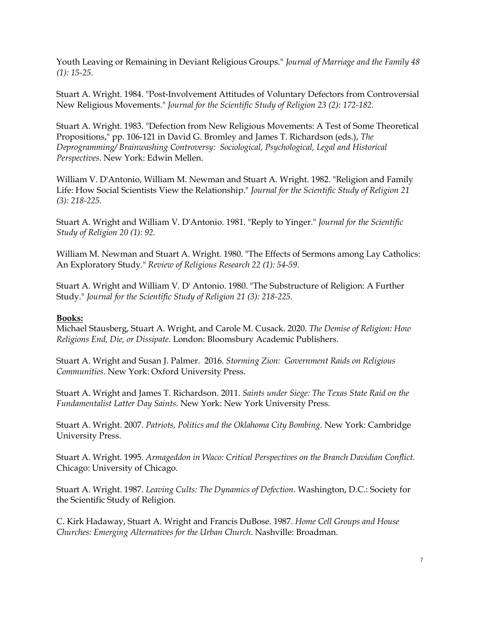Youth Leaving or Remaining in Deviant Religious Groups." *Journal of Marriage and the Family 48 (1): 15-25*.

Stuart A. Wright. 1984. "Post-Involvement Attitudes of Voluntary Defectors from Controversial New Religious Movements." *Journal for the Scientific Study of Religion 23 (2): 172-182.*

Stuart A. Wright. 1983. "Defection from New Religious Movements: A Test of Some Theoretical Propositions," pp. 106-121 in David G. Bromley and James T. Richardson (eds.), *The Deprogramming/ Brainwashing Controversy: Sociological, Psychological, Legal and Historical Perspectives*. New York: Edwin Mellen.

William V. D'Antonio, William M. Newman and Stuart A. Wright. 1982. "Religion and Family Life: How Social Scientists View the Relationship." *Journal for the Scientific Study of Religion 21 (3): 218-225.*

Stuart A. Wright and William V. D'Antonio. 1981. "Reply to Yinger." *Journal for the Scientific Study of Religion 20 (1): 92.*

William M. Newman and Stuart A. Wright. 1980. "The Effects of Sermons among Lay Catholics: An Exploratory Study." *Review of Religious Research 22 (1): 54-59*.

Stuart A. Wright and William V. D' Antonio. 1980. "The Substructure of Religion: A Further Study." *Journal for the Scientific Study of Religion 21 (3): 218-225.*

### **Books:**

Michael Stausberg, Stuart A. Wright, and Carole M. Cusack. 2020. *The Demise of Religion: How Religions End, Die, or Dissipate*. London: Bloomsbury Academic Publishers.

Stuart A. Wright and Susan J. Palmer. 2016. *Storming Zion: Government Raids on Religious Communities*. New York: Oxford University Press.

Stuart A. Wright and James T. Richardson. 2011. *Saints under Siege: The Texas State Raid on the Fundamentalist Latter Day Saints.* New York: New York University Press.

Stuart A. Wright. 2007. *Patriots, Politics and the Oklahoma City Bombing*. New York: Cambridge University Press.

Stuart A. Wright. 1995. *Armageddon in Waco: Critical Perspectives on the Branch Davidian Conflict.* Chicago: University of Chicago.

Stuart A. Wright. 1987. *Leaving Cults: The Dynamics of Defection*. Washington, D.C.: Society for the Scientific Study of Religion.

C. Kirk Hadaway, Stuart A. Wright and Francis DuBose. 1987. *Home Cell Groups and House Churches: Emerging Alternatives for the Urban Church*. Nashville: Broadman.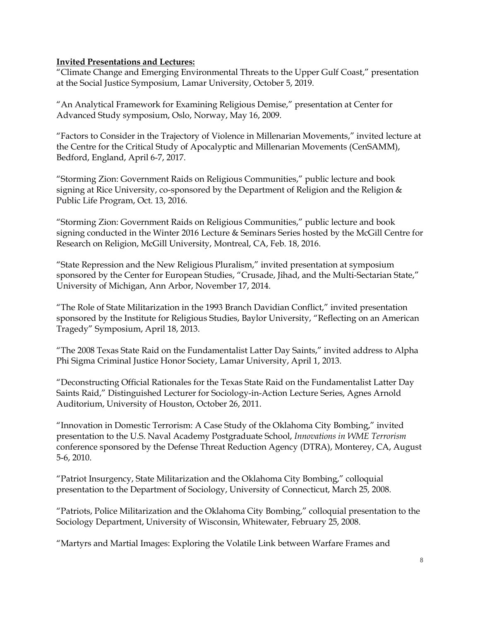#### **Invited Presentations and Lectures:**

"Climate Change and Emerging Environmental Threats to the Upper Gulf Coast," presentation at the Social Justice Symposium, Lamar University, October 5, 2019.

"An Analytical Framework for Examining Religious Demise," presentation at Center for Advanced Study symposium, Oslo, Norway, May 16, 2009.

"Factors to Consider in the Trajectory of Violence in Millenarian Movements," invited lecture at the Centre for the Critical Study of Apocalyptic and Millenarian Movements (CenSAMM), Bedford, England, April 6-7, 2017.

"Storming Zion: Government Raids on Religious Communities," public lecture and book signing at Rice University, co-sponsored by the Department of Religion and the Religion & Public Life Program, Oct. 13, 2016.

"Storming Zion: Government Raids on Religious Communities," public lecture and book signing conducted in the Winter 2016 Lecture & Seminars Series hosted by the McGill Centre for Research on Religion, McGill University, Montreal, CA, Feb. 18, 2016.

"State Repression and the New Religious Pluralism," invited presentation at symposium sponsored by the Center for European Studies, "Crusade, Jihad, and the Multi-Sectarian State," University of Michigan, Ann Arbor, November 17, 2014.

"The Role of State Militarization in the 1993 Branch Davidian Conflict," invited presentation sponsored by the Institute for Religious Studies, Baylor University, "Reflecting on an American Tragedy" Symposium, April 18, 2013.

"The 2008 Texas State Raid on the Fundamentalist Latter Day Saints," invited address to Alpha Phi Sigma Criminal Justice Honor Society, Lamar University, April 1, 2013.

"Deconstructing Official Rationales for the Texas State Raid on the Fundamentalist Latter Day Saints Raid," Distinguished Lecturer for Sociology-in-Action Lecture Series, Agnes Arnold Auditorium, University of Houston, October 26, 2011.

"Innovation in Domestic Terrorism: A Case Study of the Oklahoma City Bombing," invited presentation to the U.S. Naval Academy Postgraduate School, *Innovations in WME Terrorism* conference sponsored by the Defense Threat Reduction Agency (DTRA), Monterey, CA, August 5-6, 2010.

"Patriot Insurgency, State Militarization and the Oklahoma City Bombing," colloquial presentation to the Department of Sociology, University of Connecticut, March 25, 2008.

"Patriots, Police Militarization and the Oklahoma City Bombing," colloquial presentation to the Sociology Department, University of Wisconsin, Whitewater, February 25, 2008.

"Martyrs and Martial Images: Exploring the Volatile Link between Warfare Frames and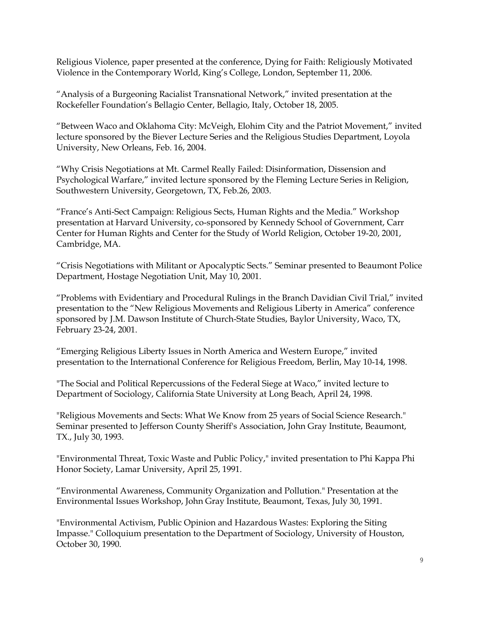Religious Violence, paper presented at the conference, Dying for Faith: Religiously Motivated Violence in the Contemporary World, King's College, London, September 11, 2006.

"Analysis of a Burgeoning Racialist Transnational Network," invited presentation at the Rockefeller Foundation's Bellagio Center, Bellagio, Italy, October 18, 2005.

"Between Waco and Oklahoma City: McVeigh, Elohim City and the Patriot Movement," invited lecture sponsored by the Biever Lecture Series and the Religious Studies Department, Loyola University, New Orleans, Feb. 16, 2004.

"Why Crisis Negotiations at Mt. Carmel Really Failed: Disinformation, Dissension and Psychological Warfare," invited lecture sponsored by the Fleming Lecture Series in Religion, Southwestern University, Georgetown, TX, Feb.26, 2003.

"France's Anti-Sect Campaign: Religious Sects, Human Rights and the Media." Workshop presentation at Harvard University, co-sponsored by Kennedy School of Government, Carr Center for Human Rights and Center for the Study of World Religion, October 19-20, 2001, Cambridge, MA.

"Crisis Negotiations with Militant or Apocalyptic Sects." Seminar presented to Beaumont Police Department, Hostage Negotiation Unit, May 10, 2001.

"Problems with Evidentiary and Procedural Rulings in the Branch Davidian Civil Trial," invited presentation to the "New Religious Movements and Religious Liberty in America" conference sponsored by J.M. Dawson Institute of Church-State Studies, Baylor University, Waco, TX, February 23-24, 2001.

"Emerging Religious Liberty Issues in North America and Western Europe," invited presentation to the International Conference for Religious Freedom, Berlin, May 10-14, 1998.

"The Social and Political Repercussions of the Federal Siege at Waco," invited lecture to Department of Sociology, California State University at Long Beach, April 24, 1998.

"Religious Movements and Sects: What We Know from 25 years of Social Science Research." Seminar presented to Jefferson County Sheriff's Association, John Gray Institute, Beaumont, TX., July 30, 1993.

"Environmental Threat, Toxic Waste and Public Policy," invited presentation to Phi Kappa Phi Honor Society, Lamar University, April 25, 1991.

"Environmental Awareness, Community Organization and Pollution." Presentation at the Environmental Issues Workshop, John Gray Institute, Beaumont, Texas, July 30, 1991.

"Environmental Activism, Public Opinion and Hazardous Wastes: Exploring the Siting Impasse." Colloquium presentation to the Department of Sociology, University of Houston, October 30, 1990.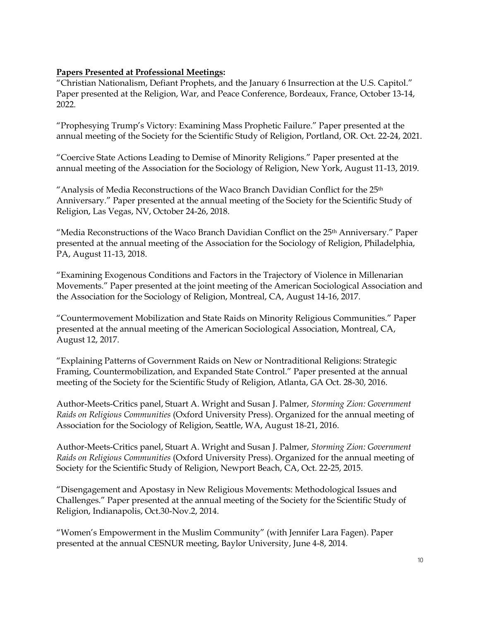### **Papers Presented at Professional Meetings:**

"Christian Nationalism, Defiant Prophets, and the January 6 Insurrection at the U.S. Capitol." Paper presented at the Religion, War, and Peace Conference, Bordeaux, France, October 13-14, 2022.

"Prophesying Trump's Victory: Examining Mass Prophetic Failure." Paper presented at the annual meeting of the Society for the Scientific Study of Religion, Portland, OR. Oct. 22-24, 2021.

"Coercive State Actions Leading to Demise of Minority Religions." Paper presented at the annual meeting of the Association for the Sociology of Religion, New York, August 11-13, 2019.

"Analysis of Media Reconstructions of the Waco Branch Davidian Conflict for the 25th Anniversary." Paper presented at the annual meeting of the Society for the Scientific Study of Religion, Las Vegas, NV, October 24-26, 2018.

"Media Reconstructions of the Waco Branch Davidian Conflict on the 25<sup>th</sup> Anniversary." Paper presented at the annual meeting of the Association for the Sociology of Religion, Philadelphia, PA, August 11-13, 2018.

"Examining Exogenous Conditions and Factors in the Trajectory of Violence in Millenarian Movements." Paper presented at the joint meeting of the American Sociological Association and the Association for the Sociology of Religion, Montreal, CA, August 14-16, 2017.

"Countermovement Mobilization and State Raids on Minority Religious Communities." Paper presented at the annual meeting of the American Sociological Association, Montreal, CA, August 12, 2017.

"Explaining Patterns of Government Raids on New or Nontraditional Religions: Strategic Framing, Countermobilization, and Expanded State Control." Paper presented at the annual meeting of the Society for the Scientific Study of Religion, Atlanta, GA Oct. 28-30, 2016.

Author-Meets-Critics panel, Stuart A. Wright and Susan J. Palmer, *Storming Zion: Government Raids on Religious Communities* (Oxford University Press). Organized for the annual meeting of Association for the Sociology of Religion, Seattle, WA, August 18-21, 2016.

Author-Meets-Critics panel, Stuart A. Wright and Susan J. Palmer, *Storming Zion: Government Raids on Religious Communities* (Oxford University Press). Organized for the annual meeting of Society for the Scientific Study of Religion, Newport Beach, CA, Oct. 22-25, 2015.

"Disengagement and Apostasy in New Religious Movements: Methodological Issues and Challenges." Paper presented at the annual meeting of the Society for the Scientific Study of Religion, Indianapolis, Oct.30-Nov.2, 2014.

"Women's Empowerment in the Muslim Community" (with Jennifer Lara Fagen). Paper presented at the annual CESNUR meeting, Baylor University, June 4-8, 2014.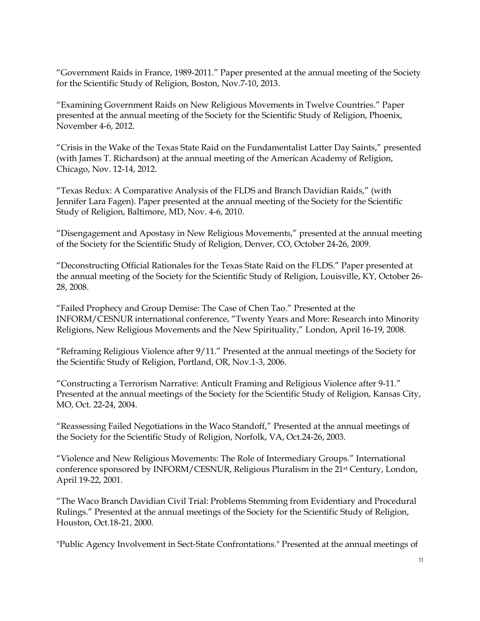"Government Raids in France, 1989-2011." Paper presented at the annual meeting of the Society for the Scientific Study of Religion, Boston, Nov.7-10, 2013.

"Examining Government Raids on New Religious Movements in Twelve Countries." Paper presented at the annual meeting of the Society for the Scientific Study of Religion, Phoenix, November 4-6, 2012.

"Crisis in the Wake of the Texas State Raid on the Fundamentalist Latter Day Saints," presented (with James T. Richardson) at the annual meeting of the American Academy of Religion, Chicago, Nov. 12-14, 2012.

"Texas Redux: A Comparative Analysis of the FLDS and Branch Davidian Raids," (with Jennifer Lara Fagen). Paper presented at the annual meeting of the Society for the Scientific Study of Religion, Baltimore, MD, Nov. 4-6, 2010.

"Disengagement and Apostasy in New Religious Movements," presented at the annual meeting of the Society for the Scientific Study of Religion, Denver, CO, October 24-26, 2009.

"Deconstructing Official Rationales for the Texas State Raid on the FLDS." Paper presented at the annual meeting of the Society for the Scientific Study of Religion, Louisville, KY, October 26- 28, 2008.

"Failed Prophecy and Group Demise: The Case of Chen Tao." Presented at the INFORM/CESNUR international conference, "Twenty Years and More: Research into Minority Religions, New Religious Movements and the New Spirituality," London, April 16-19, 2008.

"Reframing Religious Violence after 9/11." Presented at the annual meetings of the Society for the Scientific Study of Religion, Portland, OR, Nov.1-3, 2006.

"Constructing a Terrorism Narrative: Anticult Framing and Religious Violence after 9-11." Presented at the annual meetings of the Society for the Scientific Study of Religion, Kansas City, MO, Oct. 22-24, 2004.

"Reassessing Failed Negotiations in the Waco Standoff," Presented at the annual meetings of the Society for the Scientific Study of Religion, Norfolk, VA, Oct.24-26, 2003.

"Violence and New Religious Movements: The Role of Intermediary Groups." International conference sponsored by INFORM/CESNUR, Religious Pluralism in the 21st Century, London, April 19-22, 2001.

"The Waco Branch Davidian Civil Trial: Problems Stemming from Evidentiary and Procedural Rulings." Presented at the annual meetings of the Society for the Scientific Study of Religion, Houston, Oct.18-21, 2000.

"Public Agency Involvement in Sect-State Confrontations." Presented at the annual meetings of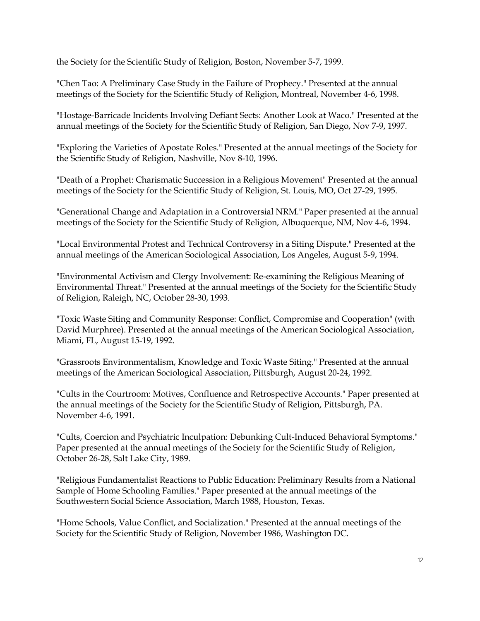the Society for the Scientific Study of Religion, Boston, November 5-7, 1999.

"Chen Tao: A Preliminary Case Study in the Failure of Prophecy." Presented at the annual meetings of the Society for the Scientific Study of Religion, Montreal, November 4-6, 1998.

"Hostage-Barricade Incidents Involving Defiant Sects: Another Look at Waco." Presented at the annual meetings of the Society for the Scientific Study of Religion, San Diego, Nov 7-9, 1997.

"Exploring the Varieties of Apostate Roles." Presented at the annual meetings of the Society for the Scientific Study of Religion, Nashville, Nov 8-10, 1996.

"Death of a Prophet: Charismatic Succession in a Religious Movement" Presented at the annual meetings of the Society for the Scientific Study of Religion, St. Louis, MO, Oct 27-29, 1995.

"Generational Change and Adaptation in a Controversial NRM." Paper presented at the annual meetings of the Society for the Scientific Study of Religion, Albuquerque, NM, Nov 4-6, 1994.

"Local Environmental Protest and Technical Controversy in a Siting Dispute." Presented at the annual meetings of the American Sociological Association, Los Angeles, August 5-9, 1994.

"Environmental Activism and Clergy Involvement: Re-examining the Religious Meaning of Environmental Threat." Presented at the annual meetings of the Society for the Scientific Study of Religion, Raleigh, NC, October 28-30, 1993.

"Toxic Waste Siting and Community Response: Conflict, Compromise and Cooperation" (with David Murphree). Presented at the annual meetings of the American Sociological Association, Miami, FL, August 15-19, 1992.

"Grassroots Environmentalism, Knowledge and Toxic Waste Siting." Presented at the annual meetings of the American Sociological Association, Pittsburgh, August 20-24, 1992.

"Cults in the Courtroom: Motives, Confluence and Retrospective Accounts." Paper presented at the annual meetings of the Society for the Scientific Study of Religion, Pittsburgh, PA. November 4-6, 1991.

"Cults, Coercion and Psychiatric Inculpation: Debunking Cult-Induced Behavioral Symptoms." Paper presented at the annual meetings of the Society for the Scientific Study of Religion, October 26-28, Salt Lake City, 1989.

"Religious Fundamentalist Reactions to Public Education: Preliminary Results from a National Sample of Home Schooling Families." Paper presented at the annual meetings of the Southwestern Social Science Association, March 1988, Houston, Texas.

"Home Schools, Value Conflict, and Socialization." Presented at the annual meetings of the Society for the Scientific Study of Religion, November 1986, Washington DC.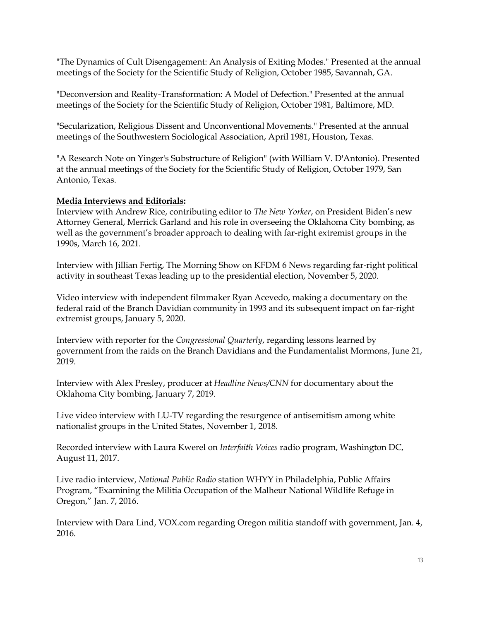"The Dynamics of Cult Disengagement: An Analysis of Exiting Modes." Presented at the annual meetings of the Society for the Scientific Study of Religion, October 1985, Savannah, GA.

"Deconversion and Reality-Transformation: A Model of Defection." Presented at the annual meetings of the Society for the Scientific Study of Religion, October 1981, Baltimore, MD.

"Secularization, Religious Dissent and Unconventional Movements." Presented at the annual meetings of the Southwestern Sociological Association, April 1981, Houston, Texas.

"A Research Note on Yinger's Substructure of Religion" (with William V. D'Antonio). Presented at the annual meetings of the Society for the Scientific Study of Religion, October 1979, San Antonio, Texas.

### **Media Interviews and Editorials:**

Interview with Andrew Rice, contributing editor to *The New Yorker*, on President Biden's new Attorney General, Merrick Garland and his role in overseeing the Oklahoma City bombing, as well as the government's broader approach to dealing with far-right extremist groups in the 1990s, March 16, 2021.

Interview with Jillian Fertig, The Morning Show on KFDM 6 News regarding far-right political activity in southeast Texas leading up to the presidential election, November 5, 2020.

Video interview with independent filmmaker Ryan Acevedo, making a documentary on the federal raid of the Branch Davidian community in 1993 and its subsequent impact on far-right extremist groups, January 5, 2020.

Interview with reporter for the *Congressional Quarterly*, regarding lessons learned by government from the raids on the Branch Davidians and the Fundamentalist Mormons, June 21, 2019.

Interview with Alex Presley, producer at *Headline News/CNN* for documentary about the Oklahoma City bombing, January 7, 2019.

Live video interview with LU-TV regarding the resurgence of antisemitism among white nationalist groups in the United States, November 1, 2018.

Recorded interview with Laura Kwerel on *Interfaith Voices* radio program, Washington DC, August 11, 2017.

Live radio interview, *National Public Radio* station WHYY in Philadelphia, Public Affairs Program, "Examining the Militia Occupation of the Malheur National Wildlife Refuge in Oregon," Jan. 7, 2016.

Interview with Dara Lind, VOX.com regarding Oregon militia standoff with government, Jan. 4, 2016.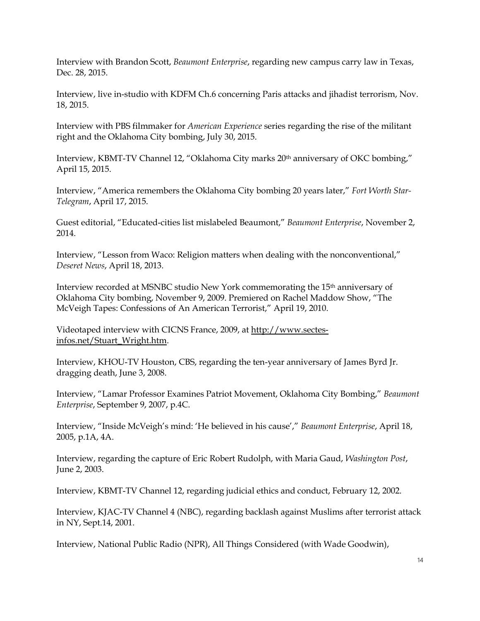Interview with Brandon Scott, *Beaumont Enterprise*, regarding new campus carry law in Texas, Dec. 28, 2015.

Interview, live in-studio with KDFM Ch.6 concerning Paris attacks and jihadist terrorism, Nov. 18, 2015.

Interview with PBS filmmaker for *American Experience* series regarding the rise of the militant right and the Oklahoma City bombing, July 30, 2015.

Interview, KBMT-TV Channel 12, "Oklahoma City marks 20<sup>th</sup> anniversary of OKC bombing," April 15, 2015.

Interview, "America remembers the Oklahoma City bombing 20 years later," *Fort Worth Star-Telegram*, April 17, 2015.

Guest editorial, "Educated-cities list mislabeled Beaumont," *Beaumont Enterprise*, November 2, 2014.

Interview, "Lesson from Waco: Religion matters when dealing with the nonconventional," *Deseret News*, April 18, 2013.

Interview recorded at MSNBC studio New York commemorating the 15th anniversary of Oklahoma City bombing, November 9, 2009. Premiered on Rachel Maddow Show, "The McVeigh Tapes: Confessions of An American Terrorist," April 19, 2010.

Videotaped interview with CICNS France, 2009, at http://www.sectesinfos.net/Stuart\_Wright.htm.

Interview, KHOU-TV Houston, CBS, regarding the ten-year anniversary of James Byrd Jr. dragging death, June 3, 2008.

Interview, "Lamar Professor Examines Patriot Movement, Oklahoma City Bombing," *Beaumont Enterprise*, September 9, 2007, p.4C.

Interview, "Inside McVeigh's mind: 'He believed in his cause'," *Beaumont Enterprise*, April 18, 2005, p.1A, 4A.

Interview, regarding the capture of Eric Robert Rudolph, with Maria Gaud, *Washington Post*, June 2, 2003.

Interview, KBMT-TV Channel 12, regarding judicial ethics and conduct, February 12, 2002.

Interview, KJAC-TV Channel 4 (NBC), regarding backlash against Muslims after terrorist attack in NY, Sept.14, 2001.

Interview, National Public Radio (NPR), All Things Considered (with Wade Goodwin),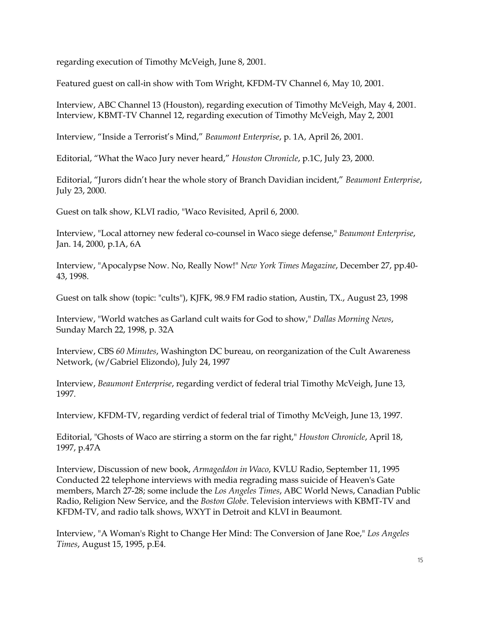regarding execution of Timothy McVeigh, June 8, 2001.

Featured guest on call-in show with Tom Wright, KFDM-TV Channel 6, May 10, 2001.

Interview, ABC Channel 13 (Houston), regarding execution of Timothy McVeigh, May 4, 2001. Interview, KBMT-TV Channel 12, regarding execution of Timothy McVeigh, May 2, 2001

Interview, "Inside a Terrorist's Mind," *Beaumont Enterprise*, p. 1A, April 26, 2001.

Editorial, "What the Waco Jury never heard," *Houston Chronicle*, p.1C, July 23, 2000.

Editorial, "Jurors didn't hear the whole story of Branch Davidian incident," *Beaumont Enterprise*, July 23, 2000.

Guest on talk show, KLVI radio, "Waco Revisited, April 6, 2000.

Interview, "Local attorney new federal co-counsel in Waco siege defense," *Beaumont Enterprise*, Jan. 14, 2000, p.1A, 6A

Interview, "Apocalypse Now. No, Really Now!" *New York Times Magazine*, December 27, pp.40- 43, 1998.

Guest on talk show (topic: "cults"), KJFK, 98.9 FM radio station, Austin, TX., August 23, 1998

Interview, "World watches as Garland cult waits for God to show," *Dallas Morning News*, Sunday March 22, 1998, p. 32A

Interview, CBS *60 Minutes*, Washington DC bureau, on reorganization of the Cult Awareness Network, (w/Gabriel Elizondo), July 24, 1997

Interview, *Beaumont Enterprise*, regarding verdict of federal trial Timothy McVeigh, June 13, 1997.

Interview, KFDM-TV, regarding verdict of federal trial of Timothy McVeigh, June 13, 1997.

Editorial, "Ghosts of Waco are stirring a storm on the far right," *Houston Chronicle*, April 18, 1997, p.47A

Interview, Discussion of new book, *Armageddon in Waco*, KVLU Radio, September 11, 1995 Conducted 22 telephone interviews with media regrading mass suicide of Heaven's Gate members, March 27-28; some include the *Los Angeles Times*, ABC World News, Canadian Public Radio, Religion New Service, and the *Boston Globe*. Television interviews with KBMT-TV and KFDM-TV, and radio talk shows, WXYT in Detroit and KLVI in Beaumont.

Interview, "A Woman's Right to Change Her Mind: The Conversion of Jane Roe," *Los Angeles Times*, August 15, 1995, p.E4.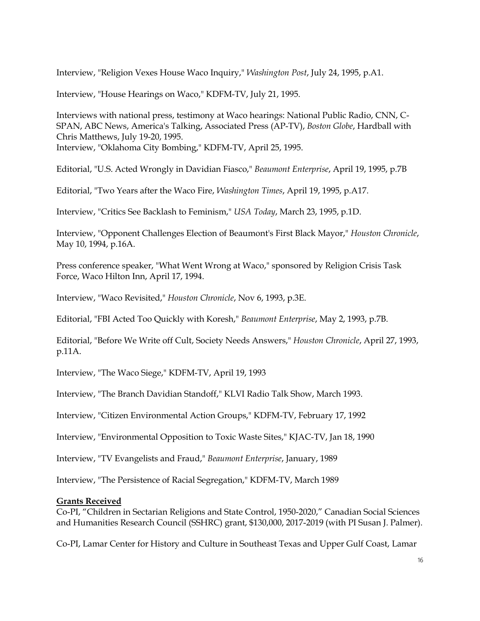Interview, "Religion Vexes House Waco Inquiry," *Washington Post*, July 24, 1995, p.A1.

Interview, "House Hearings on Waco," KDFM-TV, July 21, 1995.

Interviews with national press, testimony at Waco hearings: National Public Radio, CNN, C-SPAN, ABC News, America's Talking, Associated Press (AP-TV), *Boston Globe*, Hardball with Chris Matthews, July 19-20, 1995. Interview, "Oklahoma City Bombing," KDFM-TV, April 25, 1995.

Editorial, "U.S. Acted Wrongly in Davidian Fiasco," *Beaumont Enterprise*, April 19, 1995, p.7B

Editorial, "Two Years after the Waco Fire, *Washington Times*, April 19, 1995, p.A17.

Interview, "Critics See Backlash to Feminism," *USA Today*, March 23, 1995, p.1D.

Interview, "Opponent Challenges Election of Beaumont's First Black Mayor," *Houston Chronicle*, May 10, 1994, p.16A.

Press conference speaker, "What Went Wrong at Waco," sponsored by Religion Crisis Task Force, Waco Hilton Inn, April 17, 1994.

Interview, "Waco Revisited," *Houston Chronicle*, Nov 6, 1993, p.3E.

Editorial, "FBI Acted Too Quickly with Koresh," *Beaumont Enterprise*, May 2, 1993, p.7B.

Editorial, "Before We Write off Cult, Society Needs Answers," *Houston Chronicle*, April 27, 1993, p.11A.

Interview, "The Waco Siege," KDFM-TV, April 19, 1993

Interview, "The Branch Davidian Standoff," KLVI Radio Talk Show, March 1993.

Interview, "Citizen Environmental Action Groups," KDFM-TV, February 17, 1992

Interview, "Environmental Opposition to Toxic Waste Sites," KJAC-TV, Jan 18, 1990

Interview, "TV Evangelists and Fraud," *Beaumont Enterprise*, January, 1989

Interview, "The Persistence of Racial Segregation," KDFM-TV, March 1989

#### **Grants Received**

Co-PI, "Children in Sectarian Religions and State Control, 1950-2020," Canadian Social Sciences and Humanities Research Council (SSHRC) grant, \$130,000, 2017-2019 (with PI Susan J. Palmer).

Co-PI, Lamar Center for History and Culture in Southeast Texas and Upper Gulf Coast, Lamar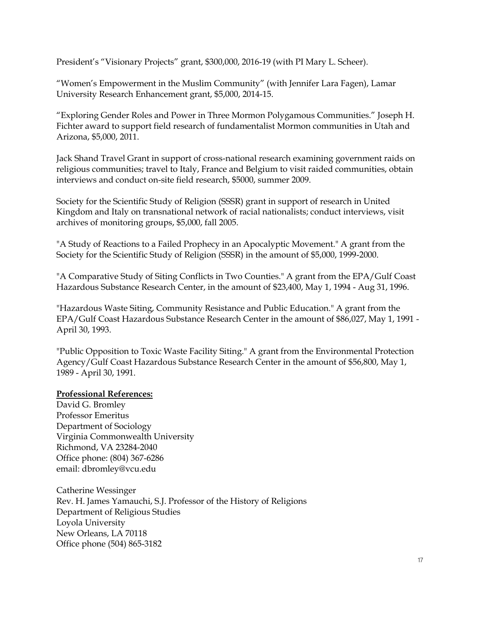President's "Visionary Projects" grant, \$300,000, 2016-19 (with PI Mary L. Scheer).

"Women's Empowerment in the Muslim Community" (with Jennifer Lara Fagen), Lamar University Research Enhancement grant, \$5,000, 2014-15.

"Exploring Gender Roles and Power in Three Mormon Polygamous Communities." Joseph H. Fichter award to support field research of fundamentalist Mormon communities in Utah and Arizona, \$5,000, 2011.

Jack Shand Travel Grant in support of cross-national research examining government raids on religious communities; travel to Italy, France and Belgium to visit raided communities, obtain interviews and conduct on-site field research, \$5000, summer 2009.

Society for the Scientific Study of Religion (SSSR) grant in support of research in United Kingdom and Italy on transnational network of racial nationalists; conduct interviews, visit archives of monitoring groups, \$5,000, fall 2005.

"A Study of Reactions to a Failed Prophecy in an Apocalyptic Movement." A grant from the Society for the Scientific Study of Religion (SSSR) in the amount of \$5,000, 1999-2000.

"A Comparative Study of Siting Conflicts in Two Counties." A grant from the EPA/Gulf Coast Hazardous Substance Research Center, in the amount of \$23,400, May 1, 1994 - Aug 31, 1996.

"Hazardous Waste Siting, Community Resistance and Public Education." A grant from the EPA/Gulf Coast Hazardous Substance Research Center in the amount of \$86,027, May 1, 1991 - April 30, 1993.

"Public Opposition to Toxic Waste Facility Siting." A grant from the Environmental Protection Agency/Gulf Coast Hazardous Substance Research Center in the amount of \$56,800, May 1, 1989 - April 30, 1991.

### **Professional References:**

David G. Bromley Professor Emeritus Department of Sociology Virginia Commonwealth University Richmond, VA 23284-2040 Office phone: (804) 367-6286 email: dbromley@vcu.edu

Catherine Wessinger Rev. H. James Yamauchi, S.J. Professor of the History of Religions Department of Religious Studies Loyola University New Orleans, LA 70118 Office phone (504) 865-3182